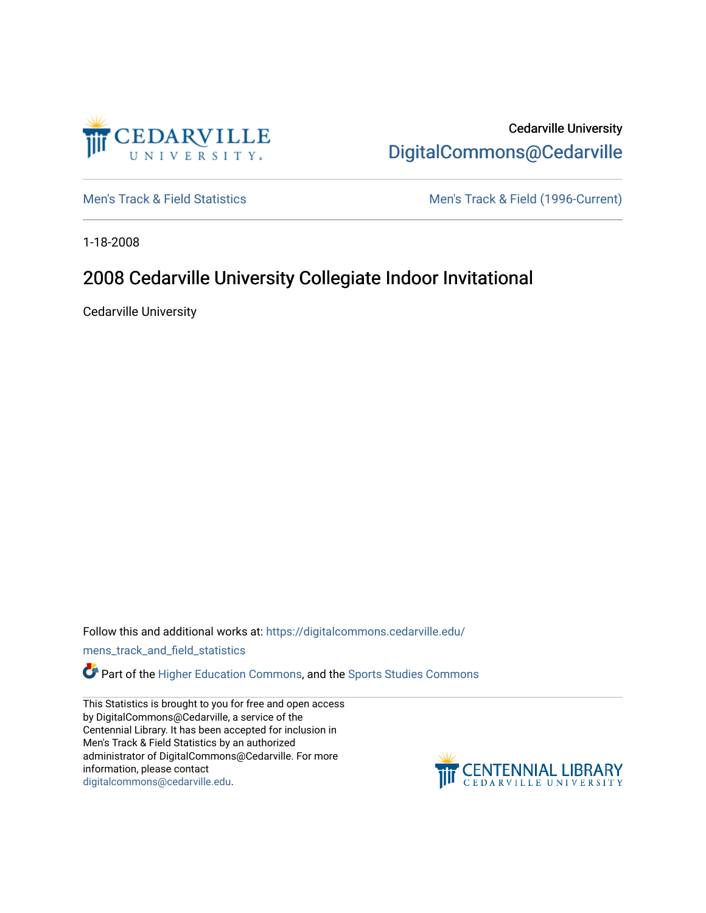

Cedarville University [DigitalCommons@Cedarville](https://digitalcommons.cedarville.edu/) 

[Men's Track & Field Statistics](https://digitalcommons.cedarville.edu/mens_track_and_field_statistics) [Men's Track & Field \(1996-Current\)](https://digitalcommons.cedarville.edu/mens_track_and_field) 

1-18-2008

# 2008 Cedarville University Collegiate Indoor Invitational

Cedarville University

Follow this and additional works at: [https://digitalcommons.cedarville.edu/](https://digitalcommons.cedarville.edu/mens_track_and_field_statistics?utm_source=digitalcommons.cedarville.edu%2Fmens_track_and_field_statistics%2F201&utm_medium=PDF&utm_campaign=PDFCoverPages)

[mens\\_track\\_and\\_field\\_statistics](https://digitalcommons.cedarville.edu/mens_track_and_field_statistics?utm_source=digitalcommons.cedarville.edu%2Fmens_track_and_field_statistics%2F201&utm_medium=PDF&utm_campaign=PDFCoverPages)

**Part of the [Higher Education Commons,](http://network.bepress.com/hgg/discipline/1245?utm_source=digitalcommons.cedarville.edu%2Fmens_track_and_field_statistics%2F201&utm_medium=PDF&utm_campaign=PDFCoverPages) and the Sports Studies Commons** 

This Statistics is brought to you for free and open access by DigitalCommons@Cedarville, a service of the Centennial Library. It has been accepted for inclusion in Men's Track & Field Statistics by an authorized administrator of DigitalCommons@Cedarville. For more information, please contact [digitalcommons@cedarville.edu](mailto:digitalcommons@cedarville.edu).

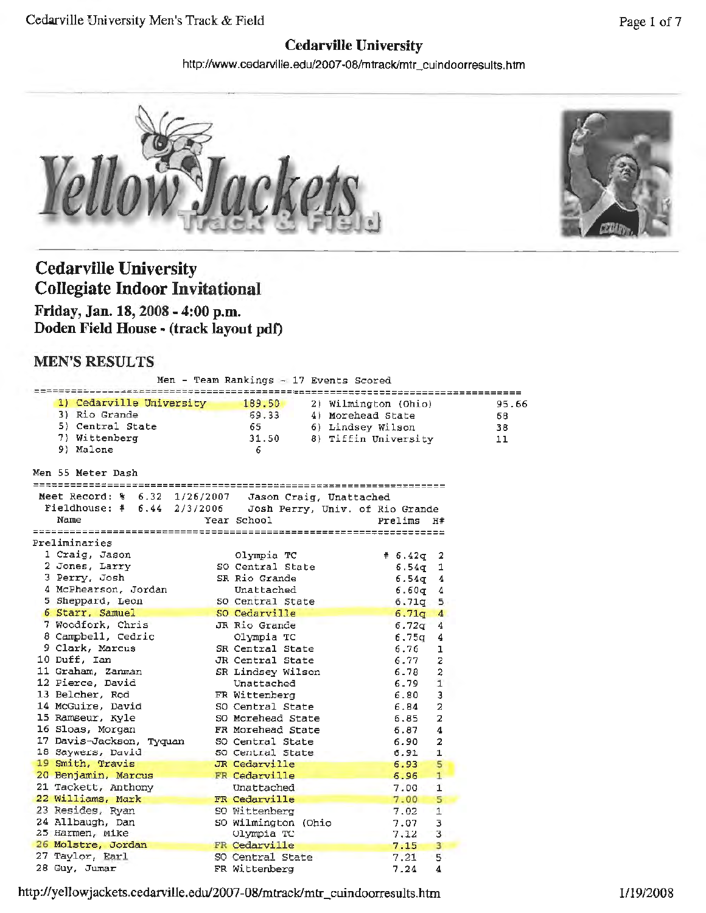## **Cedarville University**

http://www.cedarville.edu/2007-08/mtrack/mtr\_cuindoorresults.htm





# **Cedarville University Collegiate Indoor Invitational**

**Friday, Jan. 18, 2008 - 4:00 p.m.**  Doden Field House - (track layout pdf)

## **MEN'S RESULTS**

|                                                                                            | Men - Team Rankings - 17 Events Scored |                        |       |
|--------------------------------------------------------------------------------------------|----------------------------------------|------------------------|-------|
| 1) Cedarville University                                                                   | 189.50<br>2) Wilmington (Ohio)         | ====================   | 95.66 |
| 3) Rio Grande                                                                              | 69.33<br>4) Morehead State             |                        | 68    |
| 5) Central State                                                                           | - 65<br>6) Lindsey Wilson              |                        | 38    |
| 7) Wittenberg                                                                              | 31.50                                  | 8) Tiffin University   | 11    |
| 9) Malone                                                                                  | - 6                                    |                        |       |
| Men 55 Meter Dash                                                                          |                                        |                        |       |
| =================================<br>Meet Record: % 6.32 1/26/2007 Jason Craig, Unattached |                                        | ----------------       |       |
| Fieldhouse: $# 6.44 2/3/2006$                                                              | Josh Perry, Univ. of Rio Grande        |                        |       |
| Name                                                                                       | Year School                            | Prelims H#             |       |
|                                                                                            |                                        |                        |       |
| Preliminaries                                                                              |                                        |                        |       |
| 1 Craig, Jason                                                                             | Olympia TC                             | # 6.42q<br>2           |       |
| 2 Jones, Larry                                                                             | SO Central State                       | 6.54q<br>1             |       |
| 3 Perry, Josh                                                                              | SR Rio Grande                          | 6.54 <sub>g</sub><br>4 |       |
| 4 McPhearson, Jordan                                                                       | Unattached                             | 6.60 <sub>q</sub><br>4 |       |
| 5 Sheppard, Leon                                                                           | SO Central State                       | 6.71q<br>5             |       |
| 6 Starr, Samuel                                                                            | SO Cedarville                          | 6.71q<br>4             |       |
| 7 Woodfork, Chris                                                                          | JR Rio Grande                          | 6.72q<br>4             |       |
| 8 Campbell, Cedric                                                                         | Olympia TC                             | 6.75q<br>4             |       |
| 9 Clark, Marcus                                                                            | SR Central State                       | 6.76<br>ı              |       |
| 10 Duff, Ian                                                                               | JR Central State                       | 6.77<br>2              |       |
| 11 Graham, Zanman                                                                          | SR Lindsey Wilson                      | 6.78<br>2              |       |
| 12 Pierce, David                                                                           | Unattached                             | 6.79<br>$\mathbf{1}$   |       |
| 13 Belcher, Rod                                                                            | FR Wittenberg                          | 6.80<br>3              |       |
| 14 McGuire, David                                                                          | SO Central State                       | 6.84<br>$\overline{a}$ |       |
| 15 Ramseur, Kyle                                                                           | SO Morehead State                      | 2<br>6.85              |       |
| 16 Sloas, Morgan                                                                           | FR Morehead State                      | 6.87<br>4              |       |
| 17 Davis-Jackson, Tyquan                                                                   | SO Central State                       | 2<br>6.90              |       |
| 18 Saywers, David                                                                          | 50 Central State                       | 1<br>6.91              |       |
| 19 Smith, Travis                                                                           | JR Cedarville                          | 6.93<br>5              |       |
| 20 Benjamin, Marcus                                                                        | FR Cedarville                          | 1<br>6.96              |       |
| 21 Tackett, Anthony                                                                        | Unattached                             | 7.00<br>1              |       |
| 22 Williams, Mark                                                                          | FR Cedarville                          | 5<br>7.00              |       |
| 23 Resides, Ryan                                                                           | SO Wittenberg                          | $\mathbf{1}$<br>7.02   |       |
| 24 Allbaugh, Dan                                                                           | SO Wilmington (Ohio                    | 3<br>7.07              |       |
| 25 Harmen, Mike                                                                            | Olympia TC                             | 3<br>7.12              |       |
| 26 Molstre, Jordan                                                                         | FR Cedarville                          | 3<br>7.15              |       |
| 27 Taylor, Earl                                                                            | SO Central State                       | 7.21<br>5              |       |
| 28 Guy, Jumar                                                                              | FR Wittenberg                          | 7.24<br>4              |       |

http://yeJJowjackets.cedarviUe.edu/2007-08/mtrack/mtr\_cuindoorresults.htm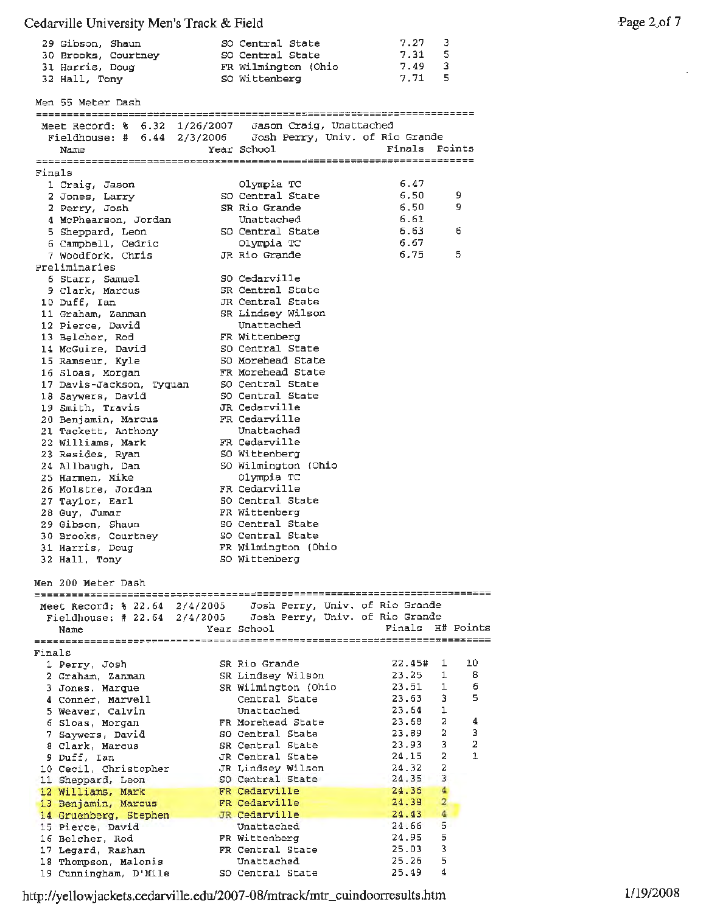### Cedarville University Men's Track & Field

|        | 29 Gibson, Shaun<br>30 Brooks, Courtney<br>31 Harris, Doug<br>32 Hall, Tony | SO Central State<br>SO Central State<br>FR Wilmington (Ohio<br>SO Wittenberg                                         | 7.27<br>7.31<br>7.49<br>$7.71$ 5 | 3<br>5<br>3                 |
|--------|-----------------------------------------------------------------------------|----------------------------------------------------------------------------------------------------------------------|----------------------------------|-----------------------------|
|        | Men 55 Meter Dash                                                           |                                                                                                                      |                                  |                             |
|        |                                                                             | Meet Record: % 6.32 1/26/2007 Jason Craig, Unattached<br>Fieldhouse: # 6.44 2/3/2006 Josh Perry, Univ. of Rio Grande |                                  |                             |
|        |                                                                             |                                                                                                                      |                                  |                             |
|        | Name                                                                        | Year School                                                                                                          | Finals Points                    |                             |
| Finals |                                                                             |                                                                                                                      |                                  |                             |
|        | 1 Craig, Jason                                                              | Olympia TC                                                                                                           | 6.47                             |                             |
|        | 2 Jones, Larry                                                              | SO Central State                                                                                                     | 6.50                             | 9                           |
|        | 2 Perry, Josh                                                               | SR Rio Grande                                                                                                        | 6.50                             | 9.                          |
|        | 4 McPhearson, Jordan<br>5 Sheppard, Leon                                    | Unattached<br>SO Central State                                                                                       | 6.61<br>6.63                     | 6                           |
|        | 6 Campbell, Cedric                                                          | Olympia TC                                                                                                           | 6.67                             |                             |
|        | 7 Woodfork, Chris                                                           | JR Rio Grande                                                                                                        | 6.75                             | 5                           |
|        | Preliminaries                                                               |                                                                                                                      |                                  |                             |
|        | 6 Starr, Samuel                                                             | SO Cedarville                                                                                                        |                                  |                             |
|        | 9 Clark, Marcus                                                             | SR Central State<br>JR Central State                                                                                 |                                  |                             |
|        | 10 Duff, Ian<br>11 Graham, Zanman                                           | SR Lindsey Wilson                                                                                                    |                                  |                             |
|        | 12 Pierce, David                                                            | Unattached                                                                                                           |                                  |                             |
|        | 13 Belcher, Rod                                                             | FR Wittenberg                                                                                                        |                                  |                             |
|        | 14 McGuire, David                                                           | SO Central State                                                                                                     |                                  |                             |
|        | 15 Ramseur, Kyle                                                            | SO Morehead State                                                                                                    |                                  |                             |
|        | 16 Sloas, Morgan<br>17 Davis-Jackson, Tyquan                                | FR Morehead State<br>SO Central State                                                                                |                                  |                             |
|        | 18 Saywers, David                                                           | SO Central State                                                                                                     |                                  |                             |
|        | 19 Smith, Travis                                                            | JR Cedarville                                                                                                        |                                  |                             |
|        | 20 Benjamin, Marcus                                                         | FR Cedarville                                                                                                        |                                  |                             |
|        | 21 Tackett, Anthony                                                         | Unattached                                                                                                           |                                  |                             |
|        | 22 Williams, Mark                                                           | FR Cedarville                                                                                                        |                                  |                             |
|        | 23 Resides, Ryan<br>24 Allbaugh, Dan                                        | SO Wittenberg<br>SO Wilmington (Ohio                                                                                 |                                  |                             |
|        | 25 Harmen, Mike                                                             | Olympia TC                                                                                                           |                                  |                             |
|        | 26 Molstre, Jordan                                                          | FR Cedarville                                                                                                        |                                  |                             |
|        | 27 Taylor, Earl                                                             | SO Central State                                                                                                     |                                  |                             |
|        | 28 Guy, Jumar                                                               | FR Wittenberg                                                                                                        |                                  |                             |
|        | 29 Gibson, Shaun                                                            | SO Central State<br>SO Central State                                                                                 |                                  |                             |
|        | 30 Brooks, Courtney<br>31 Harris, Doug                                      | FR Wilmington (Ohio                                                                                                  |                                  |                             |
|        | 32 Hall, Tony                                                               | SO Wittenberg                                                                                                        |                                  |                             |
|        | Men 200 Meter Dash                                                          |                                                                                                                      |                                  |                             |
|        |                                                                             |                                                                                                                      |                                  |                             |
|        | Meet Record: % 22.64 2/4/2005                                               | Josh Perry, Univ. of Rio Grande                                                                                      |                                  |                             |
|        | Fieldhouse: # 22.64 2/4/2005<br>Name                                        | Josh Perry, Univ. of Rio Grande<br>Year School                                                                       | Finals H# Points                 |                             |
|        |                                                                             |                                                                                                                      |                                  |                             |
| Finals |                                                                             |                                                                                                                      |                                  |                             |
|        | 1 Perry, Josh                                                               | SR Rio Grande                                                                                                        | 22.45#                           | 10<br>1                     |
|        | 2 Graham, Zanman                                                            | SR Lindsey Wilson<br>SR Wilmington (Ohio                                                                             | 23,25<br>23.51                   | 1<br>8<br>$\mathbf{1}$<br>6 |
|        | 3 Jones, Marque<br>4 Conner, Marvell                                        | Central State                                                                                                        | 23.63                            | 3.<br>5                     |
|        | 5 Weaver, Calvin                                                            | Unattached                                                                                                           | 23.64                            | 1                           |
|        | 6 Sloas, Morgan                                                             | FR Morehead State                                                                                                    | 23.68                            | 2<br>4                      |
|        | 7 Saywers, David                                                            | SO Central State                                                                                                     | 23.89                            | 2<br>3                      |
|        | 8 Clark, Marcus                                                             | SR Central State                                                                                                     | 23.93                            | 2<br>3.<br>1<br>2           |
|        | 9 Duff, Ian<br>10 Cecil, Christopher                                        | JR Central State<br>JR Lindsey Wilson                                                                                | 24.15<br>24.32                   | 2                           |
|        | 11 Sheppard, Leon                                                           | SO Central State                                                                                                     | 24.35                            | 3                           |
|        | 12 Williams, Mark                                                           | FR Cedarville                                                                                                        | 24.36                            | $\overline{4}$              |
|        | 13 Benjamin, Marcus                                                         | FR Cedarville                                                                                                        | 24.38                            | $\overline{\mathbf{2}}$     |
|        | 14 Gruenberg, Stephen                                                       | JR Cedarville                                                                                                        | 24.43                            | 4                           |
|        | 15 Pierce, David<br>16 Belcher, Rod                                         | Unattached<br>FR Wittenberg                                                                                          | 24.66<br>24.95                   | 5<br>5                      |
|        | 17 Legard, Rashan                                                           | FR Central State                                                                                                     | 25.03                            | 3                           |
|        | 18 Thompson, Malonis                                                        | Unattached                                                                                                           | 25.26                            | 5                           |
|        | 19 Cunningham, D'Mile                                                       | SO Central State                                                                                                     | 25.49                            | 4                           |

http://yellowjackets.cedarville.edu/2007-08/mtrack/mtr\_cuindoorresults.htm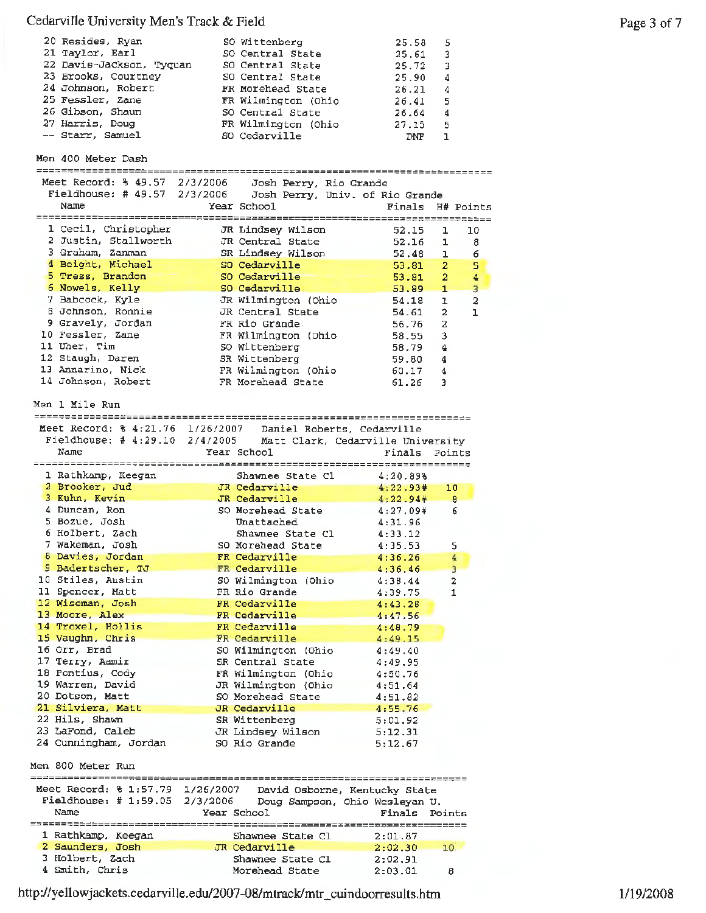### Cedarvil1e University Men's Track & Field

| 20 Resides, Ryan         | SO Wittenberg       | 25.58 | 5 |
|--------------------------|---------------------|-------|---|
| 21 Taylor, Earl          | SO Central State    | 25.61 | 3 |
| 22 Davis-Jackson, Tyquan | SO Central State    | 25.72 | 3 |
| 23 Brooks, Courtney      | SO Central State    | 25.90 | 4 |
| 24 Johnson, Robert       | FR Morehead State   | 26.21 | 4 |
| 25 Fessler, Zane         | FR Wilmington (Ohio | 26.41 | 5 |
| 26 Gibson, Shaun         | SO Central State    | 26.64 | 4 |
| 27 Harris, Doug          | FR Wilmington (Ohio | 27.15 | 5 |
| -- Starr, Samuel         | SO Cedarville       | DNF   |   |

Men 400 Meter Dash

| Meet Record: % 49.57 2/3/2006    | Josh Perry, Rio Grande          |                  |                |                |
|----------------------------------|---------------------------------|------------------|----------------|----------------|
| Fieldhouse: # $49.57$ $2/3/2006$ | Josh Perry, Univ. of Rio Grande |                  |                |                |
| Name                             | Year School                     | Finals H# Points |                |                |
|                                  | ==============                  |                  |                |                |
| 1 Cecil, Christopher             | JR Lindsey Wilson               | 52.15            | ı              | 10             |
| 2 Justin, Stallworth             | JR Central State                | 52.16            | 1              | 8              |
| 3 Graham, Zanman                 | SR Lindsey Wilson               | 52.48            | $\mathbf{1}$   | 6              |
| 4 Beight, Michael                |                                 |                  |                |                |
|                                  | SO Cedarville                   | 53.81            | 2 <sup>7</sup> | 5              |
| 5 Tress, Brandon                 | SO Cedarville                   | 53.81            | $\overline{2}$ | 4              |
| 6 Nowels, Kelly                  | SO Cedarville                   | 53.89            | ÷              | $\overline{3}$ |
| 7 Babcock, Kyle                  | JR Wilmington (Ohio             | 54.18            | $\mathbf{I}$   | 2              |
| 8 Johnson, Ronnie                | JR Central State                | 54.61            | $\overline{a}$ |                |
| 9 Gravely, Jordan                | FR Rio Grande                   | 56.76            | 2              |                |
| 10 Fessler, Zane                 | FR Wilmington (Ohio             | 58.55            | 3              |                |
| 11 Uher, Tim                     | SO Wittenberg                   | 58.79            | 4              |                |
| 12 Staugh, Daren                 | SR Wittenberg                   | 59.80            | 4              |                |
| 13 Annarino, Nick                | FR Wilmington (Ohio             | 60.17            | 4              |                |
| 14 Johnson, Robert               | FR Morehead State               | 61.26            | 3              |                |

Men 1 Mile Run

|                                        |                                                             | -----------------                  |
|----------------------------------------|-------------------------------------------------------------|------------------------------------|
|                                        | Meet Record: % 4:21.76 1/26/2007 Daniel Roberts, Cedarville |                                    |
| Fieldhouse: $# 4:29.10 2/4/2005$       | Matt Clark, Cedarville University                           |                                    |
| Name                                   | Year School                                                 | Finals<br>Points                   |
|                                        |                                                             |                                    |
| 1 Rathkamp, Keegan                     | Shawnee State Cl                                            | 4:20.898                           |
| 2 Brooker, Jud                         | JR Cedarville                                               | 4:22.93#<br>10                     |
| 3 Kuhn, Kevin                          | JR Cedarville                                               | 4:22.94#<br>8                      |
| 4 Duncan, Ron                          | SO Morehead State                                           | 4:27.09#<br>6                      |
| 5 Bozue, Josh                          | Unattached                                                  | 4:31.96                            |
| 6 Holbert, Zach                        | Shawnee State Cl                                            | 4:33.12                            |
| 7 Wakeman, Josh                        | SO Morehead State                                           | 4:35.53<br>5                       |
| 8 Davies, Jordan                       | FR Cedarville                                               | 4:36.26<br>4                       |
| 9 Badertscher, TJ                      | FR Cedarville                                               | $\overline{3}$<br>4:36.46          |
| 10 Stiles, Austin                      | SO Wilmington (Ohio                                         | $\overline{\mathbf{z}}$<br>4:38.44 |
| 11 Spencer, Matt                       | FR Rio Grande                                               | $\mathbf{1}$<br>4:39.75            |
| 12 Wiseman, Josh                       | FR Cedarville                                               | 4:43.28                            |
| 13 Moore, Alex                         | FR Cedarville                                               | 4:47.56                            |
| 14 Troxel, Hollis                      | FR Cedarville                                               | 4:48.79                            |
| 15 Vaughn, Chris                       | FR Cedarville                                               | 4:49.15                            |
| 16 Orr, Brad                           | SO Wilmington (Ohio                                         | 4:49.40                            |
| 17 Terry, Aamir                        | SR Central State                                            | 4:49.95                            |
| 18 Pontius, Cody                       | FR Wilmington (Ohio                                         | 4:50.76                            |
| 19 Warren, David                       | JR Wilmington (Ohio                                         | 4:51.64                            |
| 20 Dotson, Matt                        | SO Morehead State                                           | 4:51.82                            |
| 21 Silviera, Matt                      | JR Cedarville                                               | 4:55.76                            |
| 22 Hils, Shawn                         | SR Wittenberg                                               | 5:01.92                            |
| 23 LaFond, Caleb                       | JR Lindsey Wilson                                           | 5:12.31                            |
| 24 Cunningham, Jordan                  | SO Rio Grande                                               | 5:12.67                            |
|                                        |                                                             |                                    |
| Men 800 Meter Run                      |                                                             |                                    |
| =======================                | ==================================                          | -------                            |
| Meet Record: % 1:57.79 1/26/2007       | David Osborne, Kentucky State                               |                                    |
| Fieldhouse: $\#$ 1:59.05               | 2/3/2006<br>Doug Sampson, Ohio Wesleyan U.                  |                                    |
| Name                                   | Year School                                                 | Finals<br>Points                   |
|                                        |                                                             |                                    |
| 1 Rathkamp, Keegan<br>2 Saunders, Josh | Shawnee State Cl<br>JR Cedarville                           | 2:01.87                            |
| 3 Holbert, Zach                        | Shawnee State Cl                                            | 2:02.30<br>10 <sup>°</sup>         |
| 4 Smith, Chris                         |                                                             | 2:02.91                            |
|                                        | Morehead State                                              | 2:03.01<br>8                       |

http://ye11owjackets.cedarville.edu/2007-08/mtrack/mtr\_cuindoorresu1ts.htm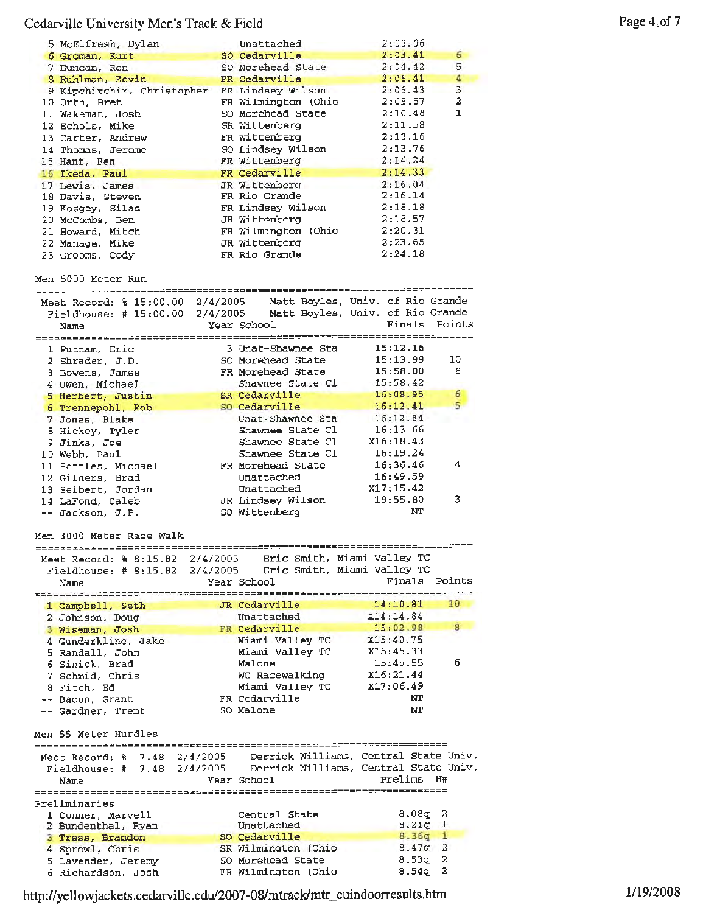### Cedarville University Men's Track & Field

| 5 McElfresh, Dylan                                               | Unattached                                           | 2:03.06                          |                  |
|------------------------------------------------------------------|------------------------------------------------------|----------------------------------|------------------|
| 6 Groman, Kurt                                                   | SO Cedarville                                        | 2:03.41                          | 6                |
| 7 Duncan, Ron                                                    | SO Morehead State                                    | 2:04.42                          | 5                |
| 8 Ruhlman, Kevin                                                 | FR Cedarville                                        | 2:06.41                          | 4                |
| 9 Kipchirchir, Christopher FR Lindsey Wilson                     |                                                      | 2:06.43                          | 3                |
| 10 Orth, Bret                                                    | FR Wilmington (Ohio                                  | 2:09.57                          | 2                |
| 11 Wakeman, Josh                                                 | SO Morehead State                                    | 2:10.48                          | 1                |
| 12 Echols, Mike                                                  | SR Wittenberg                                        | 2:11.58                          |                  |
| 13 Carter, Andrew                                                | FR Wittenberg                                        | 2:13.16                          |                  |
| 14 Thomas, Jerome                                                | SO Lindsey Wilson                                    | 2:13.76                          |                  |
| 15 Hanf, Ben                                                     | FR Wittenberg                                        | 2:14.24<br>2:14.33               |                  |
| 16 Ikeda, Paul                                                   | FR Cedarville<br>JR Wittenberg                       | 2:16.04                          |                  |
| 17 Lewis, James<br>18 Davis, Steven                              | FR Rio Grande                                        | 2:16.14                          |                  |
| 19 Kosgey, Silas                                                 | FR Lindsey Wilson                                    | 2:18.18                          |                  |
| 20 McCombs, Ben                                                  | JR Wittenberg                                        | 2:18.57                          |                  |
| 21 Howard, Mitch                                                 | FR Wilmington (Ohio                                  | 2:20.31                          |                  |
| 22 Manage, Mike                                                  | JR Wittenberg                                        | 2:23.65                          |                  |
| 23 Grooms, Cody                                                  | FR Rio Grande                                        | 2:24.18                          |                  |
|                                                                  |                                                      |                                  |                  |
| Men 5000 Meter Run                                               |                                                      |                                  |                  |
|                                                                  |                                                      |                                  |                  |
| Meet Record: % 15:00.00 2/4/2005                                 |                                                      | Matt Boyles, Univ. of Rio Grande |                  |
| Fieldhouse: # 15:00.00 2/4/2005 Matt Boyles, Univ. of Rio Grande |                                                      |                                  |                  |
| Name                                                             | Year School                                          | Finals                           | Points           |
|                                                                  |                                                      |                                  |                  |
| 1 Putnam, Eric                                                   | 3 Unat-Shawnee Sta                                   | 15:12.16                         |                  |
| 2 Shrader, J.D.                                                  | SO Morehead State                                    | 15:13.99                         | 10               |
| 3 Bowens, James                                                  | FR Morehead State                                    | 15:58.00                         | 8                |
| 4 Owen, Michael                                                  | Shawnee State Cl                                     | 15:58.42                         | $\boldsymbol{6}$ |
| 5 Herbert, Justin                                                | SR Cedarville                                        | 16:08.95<br>16:12.41             | 5                |
| 6 Trennepohl, Rob                                                | so Cedarville                                        | 16:12.84                         |                  |
| 7 Jones, Blake                                                   | Unat-Shawnee Sta<br>Shawnee State Cl                 | 16:13.66                         |                  |
| 8 Hickey, Tyler                                                  | Shawnee State Cl                                     | X16:18.43                        |                  |
| 9 Jinks, Joe                                                     | Shawnee State Cl                                     | 16:19.24                         |                  |
| 10 Webb, Paul                                                    | FR Morehead State                                    | 16:36.46                         | 4                |
| 11 Settles, Michael                                              |                                                      |                                  |                  |
|                                                                  |                                                      |                                  |                  |
| 12 Gilders, Brad                                                 | Unattached                                           | 16:49.59                         |                  |
| 13 Seibert, Jordan                                               | Unattached                                           | X17:15.42                        |                  |
| 14 LaFond, Caleb                                                 | JR Lindsey Wilson                                    | 19:55.80                         | 3                |
| -- Jackson, J.P.                                                 | SO Wittenberg                                        | NT                               |                  |
|                                                                  |                                                      |                                  |                  |
| Men 3000 Meter Race Walk                                         |                                                      |                                  |                  |
|                                                                  |                                                      |                                  |                  |
| Meet Record: % 8:15.82 2/4/2005                                  | Eric Smith, Miami Valley TC                          |                                  |                  |
| Fieldhouse: $# 8:15.82$<br>Name                                  | 2/4/2005 Eric Smith, Miami Valley TC<br>Year School  | Finals                           | Points           |
|                                                                  |                                                      |                                  |                  |
| 1 Campbell, Seth                                                 | JR Cedarville                                        | 14:10.81                         | 10               |
| 2 Johnson, Doug                                                  | Unattached                                           | X14:14.84                        |                  |
| 3 Wiseman, Josh                                                  | FR Cedarville                                        | 15:02.98                         | 8                |
| 4 Gunderkline, Jake                                              | Miami Valley TC                                      | X15:40.75                        |                  |
| 5 Randall, John                                                  | Miami Valley TC                                      | X15:45.33                        |                  |
| 6 Sinick, Brad                                                   | Malone                                               | 15:49.55                         | 6                |
| 7 Schmid, Chris                                                  | WC Racewalking                                       | X16:21.44                        |                  |
| 8 Fitch, Ed                                                      | Miami Valley TC                                      | x17:06.49                        |                  |
| -- Bacon, Grant                                                  | FR Cedarville                                        | NT                               |                  |
| -- Gardner, Trent                                                | SO Malone                                            | NΤ                               |                  |
|                                                                  |                                                      |                                  |                  |
| Men 55 Meter Hurdles                                             |                                                      |                                  |                  |
|                                                                  |                                                      |                                  |                  |
| Meet Record: $\frac{1}{2}$ 7.48 2/4/2005                         | Derrick Williams, Central State Univ.                |                                  |                  |
| Fieldhouse: # 7.48 2/4/2005                                      | Derrick Williams, Central State Univ.<br>Year School | Prelims                          | Н#               |
| Name                                                             |                                                      |                                  |                  |
| Preliminaries                                                    |                                                      |                                  |                  |
| 1 Conner, Marvell                                                | Central State                                        | 8,08q                            | 2                |
| 2 Bundenthal, Ryan                                               | Unattached                                           | $8.21q$ 1                        |                  |
| 3 Tress, Brandon                                                 | so Cedarville                                        | $8.36q$ 1                        |                  |
| 4 Sprowl, Chris                                                  | SR Wilmington (Ohio                                  | 8.47q                            | 2                |
| 5 Lavender, Jeremy                                               | SO Morehead State<br>FR Wilmington (Ohio             | 8.53q<br>8.54q                   | 2<br>2           |

http://yellowjackets.cedarville.edu/2007-08/mtrack/mtr\_cuindoorresults.htm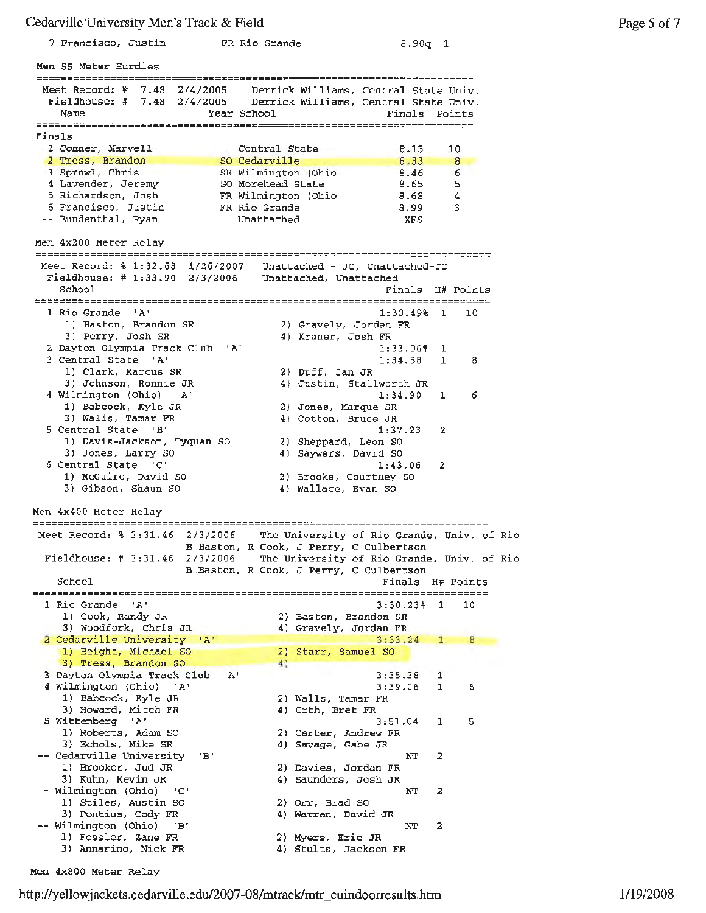#### Cedarville-University Men's Track & **Field**

| Soom THIS OIL REGIST PICTURE THAN OF FISH                         |                                              |               |                   |
|-------------------------------------------------------------------|----------------------------------------------|---------------|-------------------|
| 7 Francisco, Justin - FR Rio Grande                               |                                              | $8.90q$ 1     |                   |
| Men 55 Meter Hurdles                                              |                                              |               |                   |
|                                                                   |                                              |               |                   |
| Meet Record: % 7.48 2/4/2005                                      | Derrick Williams, Central State Univ.        |               |                   |
| Fieldhouse: # 7.48 2/4/2005 Derrick Williams, Central State Univ. |                                              |               |                   |
| Name                                                              | Year School                                  | Finals Points |                   |
|                                                                   |                                              |               |                   |
| Finals                                                            |                                              |               |                   |
|                                                                   |                                              |               |                   |
| 1 Conner, Marvell                                                 | Central State                                | 8.13          | 10 <sub>1</sub>   |
| 2 Tress, Brandon                                                  | SO Cedarville                                | 8.33          | 8                 |
| 3 Sprowl, Chris                                                   | SR Wilmington (Ohio                          | 8.46          | 6.                |
| 4 Lavender, Jeremy                                                | SO Morehead State                            | 8.65          | 5                 |
| 5 Richardson, Josh                                                | FR Wilmington (Ohio                          | 8.68          | 4                 |
|                                                                   |                                              |               |                   |
| 6 Francisco, Justin                                               | FR Rio Grande                                | 8.99          | 3                 |
| -- Bundenthal, Ryan                                               | Unattached                                   | XFS           |                   |
|                                                                   |                                              |               |                   |
| Men 4x200 Meter Relay                                             |                                              |               |                   |
|                                                                   |                                              |               |                   |
|                                                                   |                                              |               |                   |
| Meet Record: \$ 1:32.68 1/26/2007 Unattached - JC, Unattached-JC  |                                              |               |                   |
| Fieldhouse: # 1:33.90 2/3/2006 Unattached, Unattached             |                                              |               |                   |
| School                                                            |                                              |               | Finals H# Points  |
|                                                                   |                                              |               |                   |
| 1 Rio Grande 'A'                                                  |                                              | $1:30.49%$ 1  | 10                |
|                                                                   |                                              |               |                   |
| 1) Baston, Brandon SR                                             | 2) Gravely, Jordan FR                        |               |                   |
| 3) Perry, Josh SR                                                 | 4) Kraner, Josh FR                           |               |                   |
| 2 Dayton Olympia Track Club                                       | "A"                                          | 1:33.06#      | 1                 |
| 3 Central State<br>ינשי                                           |                                              | 1:34.88       | $\mathbf{1}$<br>8 |
| 1) Clark, Marcus SR                                               | 2) Duff, Ian JR                              |               |                   |
|                                                                   |                                              |               |                   |
| 3) Johnson, Ronnie JR                                             | 4) Justin, Stallworth JR                     |               |                   |
| 4 Wilmington (Ohio) 'A'                                           |                                              | 1:34.90       | 6<br>1            |
| 1) Babcock, Kyle JR                                               | 2) Jones, Marque SR                          |               |                   |
| 3) Walls, Tamar FR                                                | 4) Cotton, Bruce JR                          |               |                   |
| 5 Central State 'B'                                               |                                              | 1:37.23       | 2                 |
|                                                                   |                                              |               |                   |
| 1) Davis-Jackson, Tyquan SO                                       | 2) Sheppard, Leon SO                         |               |                   |
| 3) Jones, Larry SO                                                | 4) Saywers, David SO                         |               |                   |
| 6 Central State 'C'                                               |                                              | 1:43.06       | 2                 |
| 1) McGuire, David SO                                              | 2) Brooks, Courtney SO                       |               |                   |
| 3) Gibson, Shaun SO                                               | 4) Wallace, Evan SO                          |               |                   |
|                                                                   |                                              |               |                   |
|                                                                   |                                              |               |                   |
| Men 4x400 Meter Relay                                             |                                              |               |                   |
| ___________________________________                               |                                              |               |                   |
| Meet Record: % 3:31.46 2/3/2006                                   | The University of Rio Grande, Univ. of Rio   |               |                   |
|                                                                   | B Baston, R Cook, J Perry, C Culbertson      |               |                   |
| Fieldhouse: # 3:31.46 2/3/2006                                    | The University of Rio Grande, Univ. of Rio   |               |                   |
|                                                                   |                                              |               |                   |
|                                                                   | B Baston, R Cook, J Perry, C Culbertson      |               |                   |
| School                                                            |                                              | Finals        | H# Points         |
| ========                                                          |                                              |               |                   |
| 1 Rio Grande<br>$^{\circ}$ A <sup>+</sup>                         |                                              | 3:30.23#      | 1<br>10           |
| 1) Cook, Randy JR                                                 | 2) Baston, Brandon SR                        |               |                   |
| 3) Woodfork, Chris JR                                             | 4) Gravely, Jordan FR                        |               |                   |
|                                                                   |                                              |               |                   |
| 2 Cedarville University 'A'                                       |                                              | 3:33.24       | 1                 |
| 1) Beight, Michael SO                                             | 2) Starr, Samuel SO                          |               |                   |
| 3) Tress, Brandon SO                                              | 4)                                           |               |                   |
| 3 Dayton Olympia Track Club                                       | $^{\prime}$ A <sup><math>\prime</math></sup> | 3:35.38       | 1                 |
|                                                                   |                                              |               |                   |
| 4 Wilmington (Ohio) 'A'                                           |                                              | 3:39.06       | 1<br>6            |
| 1) Babcock, Kyle JR                                               | 2) Walls, Tamar FR                           |               |                   |
| 3) Howard, Mitch FR                                               | 4) Orth, Bret FR                             |               |                   |
| 5 Wittenberg 'A'                                                  |                                              | 3:51.04       | ı<br>5            |
| 1) Roberts, Adam SO                                               | 2) Carter, Andrew FR                         |               |                   |
|                                                                   |                                              |               |                   |
| 3) Echols, Mike SR                                                | 4) Savage, Gabe JR                           |               |                   |
| -- Cedarville University<br>'B'                                   |                                              | NΤ            | 2                 |
| 1) Brooker, Jud JR                                                | 2) Davies, Jordan FR                         |               |                   |
| 3) Kuhn, Kevin JR                                                 | 4) Saunders, Josh JR                         |               |                   |
| -- Wilmington (Ohio) 'C'                                          |                                              | NΤ            | 2                 |
| 1) Stiles, Austin SO                                              |                                              |               |                   |
|                                                                   | 2) Orr, Brad SO                              |               |                   |
| 3) Pontius, Cody FR                                               | 4) Warren, David JR                          |               |                   |
| -- Wilmington (Ohio) 'B'                                          |                                              | NΤ            | 2                 |
| 1) Fessler, Zane FR                                               | 2) Myers, Eric JR                            |               |                   |
| 3) Annarino, Nick FR                                              | 4) Stults, Jackson FR                        |               |                   |
|                                                                   |                                              |               |                   |

Men 4x800 Meter Relay

http://yellowjackets.cedarville.edu/2007-08/mtrack/mtr\_cuindoorresults.htm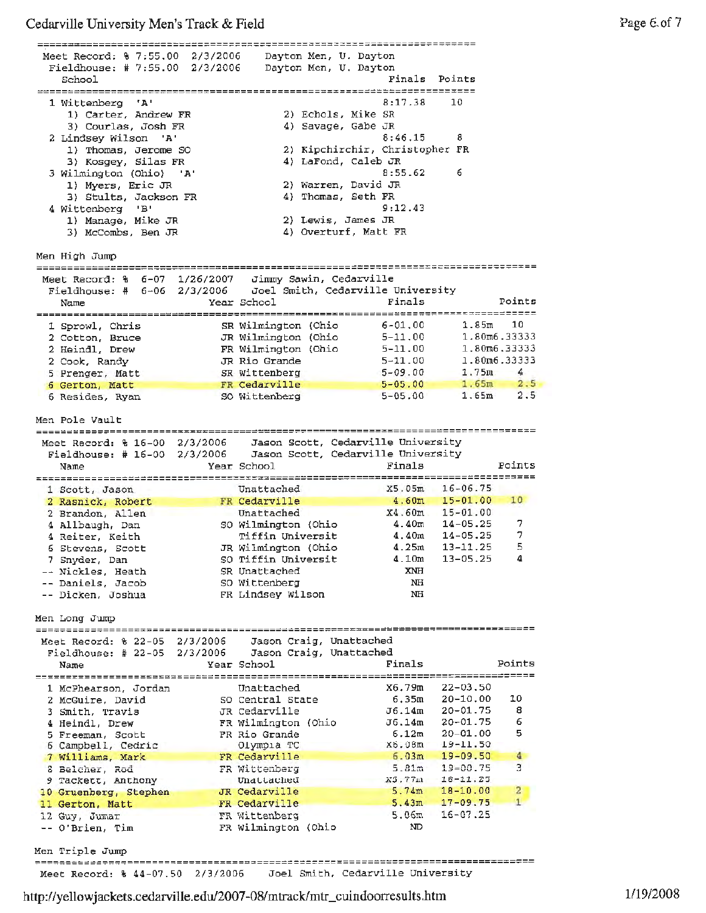Cedarville University **Men's** Track & Field

Meet Record: % 7:55.00 2/3/2006 Dayton Men, U. Dayton Fieldhouse: # 7:55.00 2/3/2006 Dayton Men, U. Dayton Finals Points School 8:17.38 10 1 Wittenberg **'A'**  1) Carter, Andrew **FR**  2) Echols, Mike SR 3) Courlas, Josh FR 4) Savage, Gabe JR 8:46.15 8 *2* Lindsey Wilson **'A'**  1) Thomas, Jerome SO 2) Kipchirchir, Christopher FR 3) Kosgey, Silas FR 4) LaFond, Caleb JR 3 Wilmington (Ohio) **'A'** 8:55.62 6 1) Myers, Eric JR 2) warren, David JR 3) Stults, Jackson FR 4) Thomas, Seth FR 4 Wittenberg 'B' 9:12.43 1) Manage, Mike JR 2) Lewis, James JR 3) McCombs, Ben JR 4) Overturf, Matt FR Men High Jump 6-07 1/26/2007 Jimmy Sawin, Cedarville Meet Record: % 6-06 2/3/2006 Joel Smith, Cedarville University Fieldhouse: # Year School Finals Name Points 1 Sprowl, Chris SR Wilmington (Ohio 6-01.00 1.85m 10 2 Cotton, Bruce JR Wilmington (Ohio 5-11. 00 1.80m6.33333 **FR** Wilmington (Ohio 5-11. 00 1. 80m6. 33 333 2 Heindl, Drew JR Rio Grande 5-11. 00 1.80m6.33333 2 Cook, Randy SR Wittenberg 5-09.00 1.75m 4 5 Prenger, Matt **FR Cedarville** 5-05.00 1.65m 2.5 6 **Gerton, Matt**  SO Wittenberg 5-05.00 1.65m 2.5 6 Resides, Ryan Men Pole Vault 2/3/2006 Jason Scott, Cedarville University Meet Record: % 16-00 2/3/2006 Jason Scott, Cedarville University Fieldhouse: # 16-00 Name The Press of Mear School Pinals Points 1 Scott, Jason Unattached XS. 05m 16-06.75 FR **Cedarville** 4.60m 15-01.00 lO 2 Rasnick, Robert 15-01.00 2 Brandon, Allen Unattached X4. 60m so Wilmington {Ohio **4.40m**  14-05.25 4 Allbaugh, Dan 7 Tiffin Universit 4.40m 14-05.25 **<sup>4</sup>**Reiter, Keith 7 13-11.25 6 Stevens, Scott JR Wilmington (Ohio 4.25m 5 so Tiffin Universit 4.lOm 13-05.25 7 Snyder, Dan **4**  Nickles, Heath SR Unattached **XNH**  Daniels, Jacob so Wittenberg NH Dicken, Joshua **FR** Lindsey Wilson NH Men Long Jwnp 2/3/2006 Jason Craig, unattached Meet Record: % 22-05 2/3/2006 Jason Craig, Unattached Fieldhouse: # 22-05 Year School **Finals** Name Points 1 McPhearson, Jordan Unattached 22-03.50 X6. 79m so Central State 6,35m 20-10.00 10 2 McGuire, David 3 Smith, Travis JR Cedarville J6 .14m 20-01.75 8 FR Wilmington (Ohio J6 .14m 20-01.75 4 Heindl, Drew 6 20-01.00 5 Freeman, Scott 6.12m FR Rio Grande 5 19-11. 50 6 Campbell, Cedric Olympia TC X6.08rn 7 Williams, Mark FR Cedarville 6 .03m 19-09.50 4 8 Belcher, Rod FR Wittenberg 5.81m 19-00.75 3 9 Tackett, Anthony Unattached 18-11.25 XS. 77m 5. 74m JR Cedarville 18-10.00 10 Gruenberg, Stephen 2 FR Cedarville 17-09.75 11 Gerton, Matt 5.43m 1 16-07.25 FR Wittenberg 5.06m 12 Guy, Jumar O'Brien, Tim FR Wilmington (Ohio ND Men Triple Jump -----------~--------------------------------------------------------------~------

http://yellowjackets.cedarville.edu/2007-08/mtrack/mtr\_cuindoorresults.htm

Meet Record: % 44-07.50 2/3/2006 Joel Smith, Cedarville University